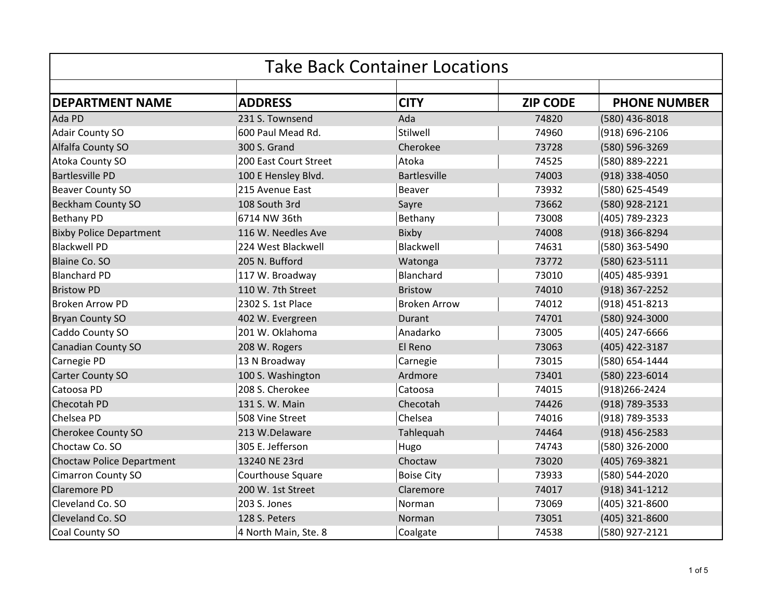| <b>Take Back Container Locations</b> |                       |                     |                 |                     |
|--------------------------------------|-----------------------|---------------------|-----------------|---------------------|
|                                      |                       |                     |                 |                     |
| <b>DEPARTMENT NAME</b>               | <b>ADDRESS</b>        | <b>CITY</b>         | <b>ZIP CODE</b> | <b>PHONE NUMBER</b> |
| Ada PD                               | 231 S. Townsend       | Ada                 | 74820           | (580) 436-8018      |
| <b>Adair County SO</b>               | 600 Paul Mead Rd.     | Stilwell            | 74960           | (918) 696-2106      |
| Alfalfa County SO                    | 300 S. Grand          | Cherokee            | 73728           | (580) 596-3269      |
| Atoka County SO                      | 200 East Court Street | Atoka               | 74525           | (580) 889-2221      |
| <b>Bartlesville PD</b>               | 100 E Hensley Blvd.   | <b>Bartlesville</b> | 74003           | (918) 338-4050      |
| <b>Beaver County SO</b>              | 215 Avenue East       | <b>Beaver</b>       | 73932           | (580) 625-4549      |
| <b>Beckham County SO</b>             | 108 South 3rd         | Sayre               | 73662           | (580) 928-2121      |
| <b>Bethany PD</b>                    | 6714 NW 36th          | Bethany             | 73008           | (405) 789-2323      |
| <b>Bixby Police Department</b>       | 116 W. Needles Ave    | Bixby               | 74008           | (918) 366-8294      |
| <b>Blackwell PD</b>                  | 224 West Blackwell    | Blackwell           | 74631           | (580) 363-5490      |
| <b>Blaine Co. SO</b>                 | 205 N. Bufford        | Watonga             | 73772           | (580) 623-5111      |
| <b>Blanchard PD</b>                  | 117 W. Broadway       | Blanchard           | 73010           | (405) 485-9391      |
| <b>Bristow PD</b>                    | 110 W. 7th Street     | <b>Bristow</b>      | 74010           | (918) 367-2252      |
| <b>Broken Arrow PD</b>               | 2302 S. 1st Place     | <b>Broken Arrow</b> | 74012           | (918) 451-8213      |
| <b>Bryan County SO</b>               | 402 W. Evergreen      | Durant              | 74701           | (580) 924-3000      |
| Caddo County SO                      | 201 W. Oklahoma       | Anadarko            | 73005           | (405) 247-6666      |
| <b>Canadian County SO</b>            | 208 W. Rogers         | El Reno             | 73063           | (405) 422-3187      |
| Carnegie PD                          | 13 N Broadway         | Carnegie            | 73015           | (580) 654-1444      |
| Carter County SO                     | 100 S. Washington     | Ardmore             | 73401           | (580) 223-6014      |
| Catoosa PD                           | 208 S. Cherokee       | Catoosa             | 74015           | (918) 266-2424      |
| <b>Checotah PD</b>                   | 131 S. W. Main        | Checotah            | 74426           | (918) 789-3533      |
| Chelsea PD                           | 508 Vine Street       | Chelsea             | 74016           | (918) 789-3533      |
| Cherokee County SO                   | 213 W.Delaware        | Tahlequah           | 74464           | (918) 456-2583      |
| Choctaw Co. SO                       | 305 E. Jefferson      | Hugo                | 74743           | (580) 326-2000      |
| <b>Choctaw Police Department</b>     | 13240 NE 23rd         | Choctaw             | 73020           | (405) 769-3821      |
| <b>Cimarron County SO</b>            | Courthouse Square     | <b>Boise City</b>   | 73933           | (580) 544-2020      |
| <b>Claremore PD</b>                  | 200 W. 1st Street     | Claremore           | 74017           | (918) 341-1212      |
| Cleveland Co. SO                     | 203 S. Jones          | Norman              | 73069           | (405) 321-8600      |
| Cleveland Co. SO                     | 128 S. Peters         | Norman              | 73051           | (405) 321-8600      |
| Coal County SO                       | 4 North Main, Ste. 8  | Coalgate            | 74538           | (580) 927-2121      |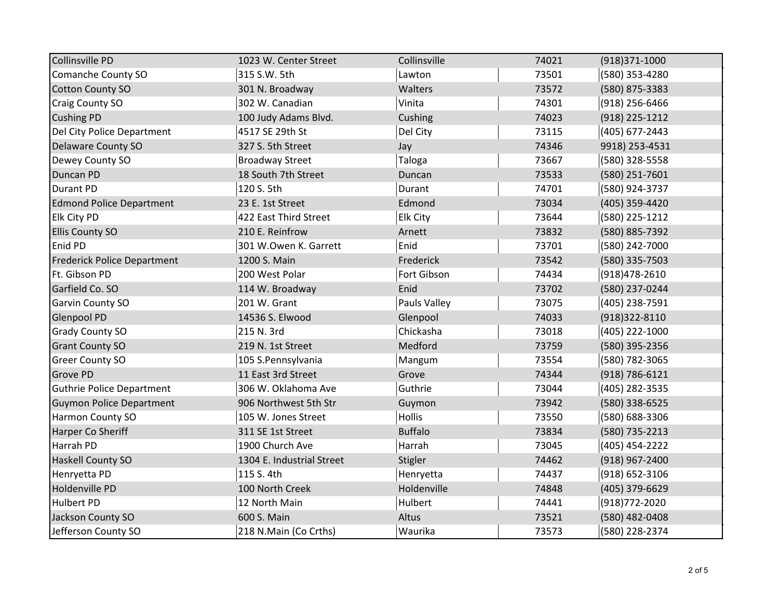| <b>Collinsville PD</b>             | 1023 W. Center Street     | Collinsville    | 74021 | (918)371-1000      |
|------------------------------------|---------------------------|-----------------|-------|--------------------|
| Comanche County SO                 | 315 S.W. 5th              | Lawton          | 73501 | (580) 353-4280     |
| <b>Cotton County SO</b>            | 301 N. Broadway           | Walters         | 73572 | (580) 875-3383     |
| <b>Craig County SO</b>             | 302 W. Canadian           | Vinita          | 74301 | (918) 256-6466     |
| <b>Cushing PD</b>                  | 100 Judy Adams Blvd.      | Cushing         | 74023 | (918) 225-1212     |
| Del City Police Department         | 4517 SE 29th St           | Del City        | 73115 | (405) 677-2443     |
| Delaware County SO                 | 327 S. 5th Street         | Jay             | 74346 | 9918) 253-4531     |
| Dewey County SO                    | <b>Broadway Street</b>    | Taloga          | 73667 | (580) 328-5558     |
| <b>Duncan PD</b>                   | 18 South 7th Street       | Duncan          | 73533 | (580) 251-7601     |
| <b>Durant PD</b>                   | 120 S. 5th                | Durant          | 74701 | (580) 924-3737     |
| <b>Edmond Police Department</b>    | 23 E. 1st Street          | Edmond          | 73034 | (405) 359-4420     |
| Elk City PD                        | 422 East Third Street     | <b>Elk City</b> | 73644 | (580) 225-1212     |
| <b>Ellis County SO</b>             | 210 E. Reinfrow           | Arnett          | 73832 | (580) 885-7392     |
| Enid PD                            | 301 W.Owen K. Garrett     | Enid            | 73701 | (580) 242-7000     |
| <b>Frederick Police Department</b> | 1200 S. Main              | Frederick       | 73542 | (580) 335-7503     |
| Ft. Gibson PD                      | 200 West Polar            | Fort Gibson     | 74434 | (918) 478-2610     |
| Garfield Co. SO                    | 114 W. Broadway           | Enid            | 73702 | (580) 237-0244     |
| Garvin County SO                   | 201 W. Grant              | Pauls Valley    | 73075 | (405) 238-7591     |
| <b>Glenpool PD</b>                 | 14536 S. Elwood           | Glenpool        | 74033 | (918)322-8110      |
| <b>Grady County SO</b>             | 215 N. 3rd                | Chickasha       | 73018 | (405) 222-1000     |
| <b>Grant County SO</b>             | 219 N. 1st Street         | Medford         | 73759 | (580) 395-2356     |
| <b>Greer County SO</b>             | 105 S.Pennsylvania        | Mangum          | 73554 | (580) 782-3065     |
| Grove PD                           | 11 East 3rd Street        | Grove           | 74344 | $(918) 786 - 6121$ |
| <b>Guthrie Police Department</b>   | 306 W. Oklahoma Ave       | Guthrie         | 73044 | (405) 282-3535     |
| <b>Guymon Police Department</b>    | 906 Northwest 5th Str     | Guymon          | 73942 | (580) 338-6525     |
| Harmon County SO                   | 105 W. Jones Street       | Hollis          | 73550 | (580) 688-3306     |
| Harper Co Sheriff                  | 311 SE 1st Street         | <b>Buffalo</b>  | 73834 | (580) 735-2213     |
| Harrah PD                          | 1900 Church Ave           | Harrah          | 73045 | (405) 454-2222     |
| <b>Haskell County SO</b>           | 1304 E. Industrial Street | Stigler         | 74462 | (918) 967-2400     |
| Henryetta PD                       | 115 S. 4th                | Henryetta       | 74437 | (918) 652-3106     |
| Holdenville PD                     | 100 North Creek           | Holdenville     | 74848 | (405) 379-6629     |
| <b>Hulbert PD</b>                  | 12 North Main             | Hulbert         | 74441 | (918) 772-2020     |
| Jackson County SO                  | 600 S. Main               | Altus           | 73521 | (580) 482-0408     |
| Jefferson County SO                | 218 N.Main (Co Crths)     | Waurika         | 73573 | (580) 228-2374     |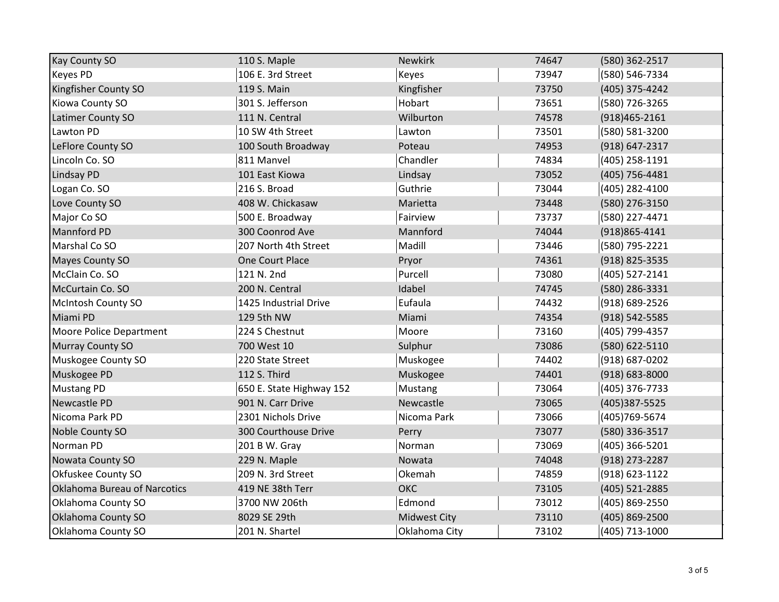| <b>Kay County SO</b>         | 110 S. Maple             | <b>Newkirk</b>      | 74647 | (580) 362-2517     |
|------------------------------|--------------------------|---------------------|-------|--------------------|
| <b>Keyes PD</b>              | 106 E. 3rd Street        | Keyes               | 73947 | (580) 546-7334     |
| Kingfisher County SO         | 119 S. Main              | Kingfisher          | 73750 | (405) 375-4242     |
| Kiowa County SO              | 301 S. Jefferson         | Hobart              | 73651 | (580) 726-3265     |
| Latimer County SO            | 111 N. Central           | Wilburton           | 74578 | $(918)465 - 2161$  |
| Lawton PD                    | 10 SW 4th Street         | Lawton              | 73501 | (580) 581-3200     |
| LeFlore County SO            | 100 South Broadway       | Poteau              | 74953 | (918) 647-2317     |
| Lincoln Co. SO               | 811 Manvel               | Chandler            | 74834 | (405) 258-1191     |
| <b>Lindsay PD</b>            | 101 East Kiowa           | Lindsay             | 73052 | (405) 756-4481     |
| Logan Co. SO                 | 216 S. Broad             | Guthrie             | 73044 | (405) 282-4100     |
| Love County SO               | 408 W. Chickasaw         | Marietta            | 73448 | (580) 276-3150     |
| Major Co SO                  | 500 E. Broadway          | Fairview            | 73737 | (580) 227-4471     |
| <b>Mannford PD</b>           | 300 Coonrod Ave          | Mannford            | 74044 | (918) 865-4141     |
| Marshal Co SO                | 207 North 4th Street     | Madill              | 73446 | (580) 795-2221     |
| <b>Mayes County SO</b>       | One Court Place          | Pryor               | 74361 | (918) 825-3535     |
| McClain Co. SO               | 121 N. 2nd               | Purcell             | 73080 | $(405)$ 527-2141   |
| McCurtain Co. SO             | 200 N. Central           | Idabel              | 74745 | (580) 286-3331     |
| <b>McIntosh County SO</b>    | 1425 Industrial Drive    | Eufaula             | 74432 | (918) 689-2526     |
| Miami PD                     | 129 5th NW               | Miami               | 74354 | (918) 542-5585     |
| Moore Police Department      | 224 S Chestnut           | Moore               | 73160 | (405) 799-4357     |
| Murray County SO             | 700 West 10              | Sulphur             | 73086 | (580) 622-5110     |
| Muskogee County SO           | 220 State Street         | Muskogee            | 74402 | $(918) 687 - 0202$ |
| Muskogee PD                  | 112 S. Third             | Muskogee            | 74401 | $(918) 683 - 8000$ |
| <b>Mustang PD</b>            | 650 E. State Highway 152 | Mustang             | 73064 | (405) 376-7733     |
| Newcastle PD                 | 901 N. Carr Drive        | Newcastle           | 73065 | (405)387-5525      |
| Nicoma Park PD               | 2301 Nichols Drive       | Nicoma Park         | 73066 | (405) 769-5674     |
| Noble County SO              | 300 Courthouse Drive     | Perry               | 73077 | (580) 336-3517     |
| Norman PD                    | 201 B W. Gray            | Norman              | 73069 | (405) 366-5201     |
| <b>Nowata County SO</b>      | 229 N. Maple             | Nowata              | 74048 | (918) 273-2287     |
| Okfuskee County SO           | 209 N. 3rd Street        | Okemah              | 74859 | (918) 623-1122     |
| Oklahoma Bureau of Narcotics | 419 NE 38th Terr         | ОКС                 | 73105 | (405) 521-2885     |
| Oklahoma County SO           | 3700 NW 206th            | Edmond              | 73012 | (405) 869-2550     |
| Oklahoma County SO           | 8029 SE 29th             | <b>Midwest City</b> | 73110 | (405) 869-2500     |
| Oklahoma County SO           | 201 N. Shartel           | Oklahoma City       | 73102 | (405) 713-1000     |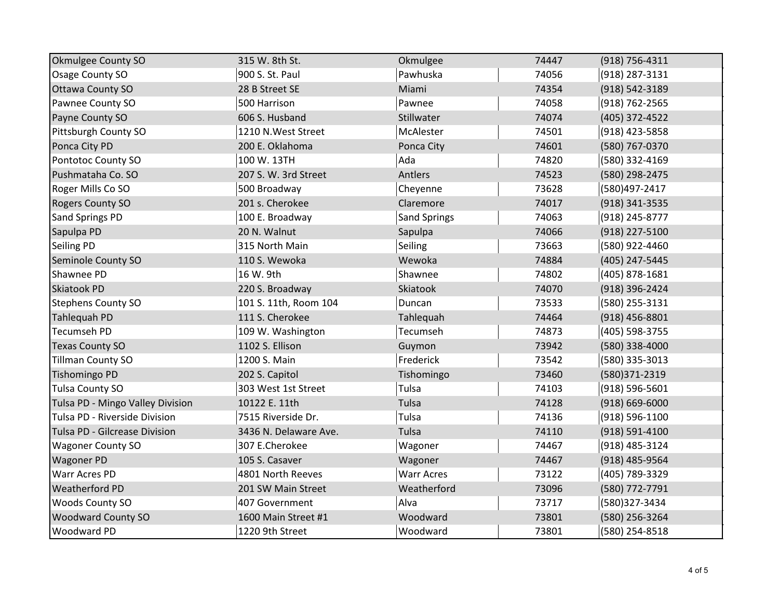| <b>Okmulgee County SO</b>        | 315 W. 8th St.        | Okmulgee            | 74447 | (918) 756-4311     |
|----------------------------------|-----------------------|---------------------|-------|--------------------|
| Osage County SO                  | 900 S. St. Paul       | Pawhuska            | 74056 | (918) 287-3131     |
| <b>Ottawa County SO</b>          | 28 B Street SE        | Miami               | 74354 | (918) 542-3189     |
| Pawnee County SO                 | 500 Harrison          | Pawnee              | 74058 | (918) 762-2565     |
| Payne County SO                  | 606 S. Husband        | Stillwater          | 74074 | (405) 372-4522     |
| Pittsburgh County SO             | 1210 N.West Street    | McAlester           | 74501 | (918) 423-5858     |
| Ponca City PD                    | 200 E. Oklahoma       | Ponca City          | 74601 | (580) 767-0370     |
| Pontotoc County SO               | 100 W. 13TH           | Ada                 | 74820 | (580) 332-4169     |
| Pushmataha Co. SO                | 207 S. W. 3rd Street  | Antlers             | 74523 | (580) 298-2475     |
| Roger Mills Co SO                | 500 Broadway          | Cheyenne            | 73628 | (580)497-2417      |
| <b>Rogers County SO</b>          | 201 s. Cherokee       | Claremore           | 74017 | (918) 341-3535     |
| Sand Springs PD                  | 100 E. Broadway       | <b>Sand Springs</b> | 74063 | (918) 245-8777     |
| Sapulpa PD                       | 20 N. Walnut          | Sapulpa             | 74066 | (918) 227-5100     |
| <b>Seiling PD</b>                | 315 North Main        | Seiling             | 73663 | (580) 922-4460     |
| Seminole County SO               | 110 S. Wewoka         | Wewoka              | 74884 | (405) 247-5445     |
| Shawnee PD                       | 16 W. 9th             | Shawnee             | 74802 | (405) 878-1681     |
| <b>Skiatook PD</b>               | 220 S. Broadway       | Skiatook            | 74070 | (918) 396-2424     |
| <b>Stephens County SO</b>        | 101 S. 11th, Room 104 | Duncan              | 73533 | (580) 255-3131     |
| Tahlequah PD                     | 111 S. Cherokee       | Tahlequah           | 74464 | (918) 456-8801     |
| <b>Tecumseh PD</b>               | 109 W. Washington     | Tecumseh            | 74873 | (405) 598-3755     |
| <b>Texas County SO</b>           | 1102 S. Ellison       | Guymon              | 73942 | (580) 338-4000     |
| Tillman County SO                | 1200 S. Main          | Frederick           | 73542 | (580) 335-3013     |
| <b>Tishomingo PD</b>             | 202 S. Capitol        | Tishomingo          | 73460 | (580)371-2319      |
| <b>Tulsa County SO</b>           | 303 West 1st Street   | Tulsa               | 74103 | (918) 596-5601     |
| Tulsa PD - Mingo Valley Division | 10122 E. 11th         | Tulsa               | 74128 | $(918) 669 - 6000$ |
| Tulsa PD - Riverside Division    | 7515 Riverside Dr.    | Tulsa               | 74136 | (918) 596-1100     |
| Tulsa PD - Gilcrease Division    | 3436 N. Delaware Ave. | Tulsa               | 74110 | (918) 591-4100     |
| <b>Wagoner County SO</b>         | 307 E.Cherokee        | Wagoner             | 74467 | (918) 485-3124     |
| <b>Wagoner PD</b>                | 105 S. Casaver        | Wagoner             | 74467 | (918) 485-9564     |
| Warr Acres PD                    | 4801 North Reeves     | <b>Warr Acres</b>   | 73122 | (405) 789-3329     |
| <b>Weatherford PD</b>            | 201 SW Main Street    | Weatherford         | 73096 | (580) 772-7791     |
| <b>Woods County SO</b>           | 407 Government        | Alva                | 73717 | (580)327-3434      |
| <b>Woodward County SO</b>        | 1600 Main Street #1   | Woodward            | 73801 | (580) 256-3264     |
| <b>Woodward PD</b>               | 1220 9th Street       | Woodward            | 73801 | (580) 254-8518     |